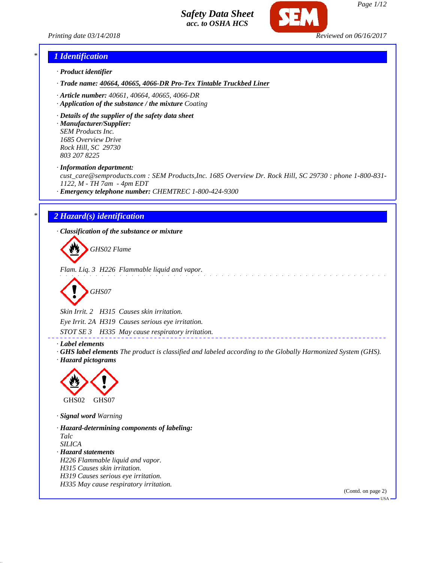*Printing date 03/14/2018 Reviewed on 06/16/2017*



### *\* 1 Identification*

- *· Product identifier*
- *· Trade name: 40664, 40665, 4066-DR Pro-Tex Tintable Truckbed Liner*
- *· Article number: 40661, 40664, 40665, 4066-DR*
- *· Application of the substance / the mixture Coating*
- *· Details of the supplier of the safety data sheet*

*· Manufacturer/Supplier: SEM Products Inc. 1685 Overview Drive Rock Hill, SC 29730 803 207 8225*

*· Information department:*

*cust\_care@semproducts.com : SEM Products,Inc. 1685 Overview Dr. Rock Hill, SC 29730 : phone 1-800-831- 1122, M - TH 7am - 4pm EDT*

and the contract of

*· Emergency telephone number: CHEMTREC 1-800-424-9300*

### *\* 2 Hazard(s) identification*

*· Classification of the substance or mixture*

*GHS02 Flame*

*Flam. Liq. 3 H226 Flammable liquid and vapor.*

$$
\bigotimes \text{GHSO7}
$$

*Skin Irrit. 2 H315 Causes skin irritation. Eye Irrit. 2A H319 Causes serious eye irritation. STOT SE 3 H335 May cause respiratory irritation.*

*· Label elements*

*· GHS label elements The product is classified and labeled according to the Globally Harmonized System (GHS). · Hazard pictograms*



*· Signal word Warning*

*· Hazard-determining components of labeling: Talc SILICA · Hazard statements H226 Flammable liquid and vapor. H315 Causes skin irritation. H319 Causes serious eye irritation. H335 May cause respiratory irritation.*

(Contd. on page 2)

 $-<sub>11</sub><sub>S</sub>$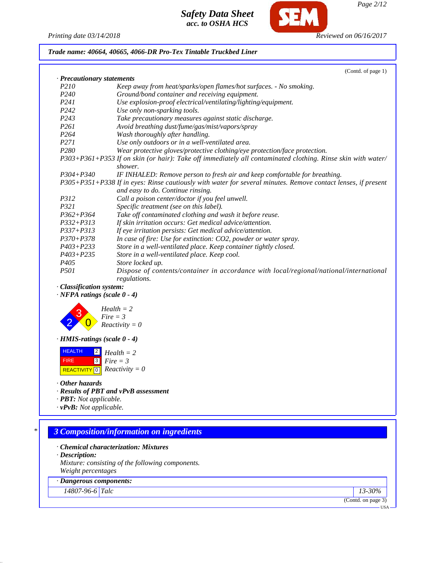

**CF** 

*Page 2/12*

*Trade name: 40664, 40665, 4066-DR Pro-Tex Tintable Truckbed Liner*

|                            | (Contd. of page 1)                                                                                            |
|----------------------------|---------------------------------------------------------------------------------------------------------------|
| · Precautionary statements |                                                                                                               |
| P <sub>210</sub>           | Keep away from heat/sparks/open flames/hot surfaces. - No smoking.                                            |
| P <sub>240</sub>           | Ground/bond container and receiving equipment.                                                                |
| P <sub>24</sub> 1          | Use explosion-proof electrical/ventilating/lighting/equipment.                                                |
| P <sub>242</sub>           | Use only non-sparking tools.                                                                                  |
| P <sub>243</sub>           | Take precautionary measures against static discharge.                                                         |
| P261                       | Avoid breathing dust/fume/gas/mist/vapors/spray                                                               |
| P <sub>264</sub>           | Wash thoroughly after handling.                                                                               |
| P271                       | Use only outdoors or in a well-ventilated area.                                                               |
| P <sub>280</sub>           | Wear protective gloves/protective clothing/eye protection/face protection.                                    |
|                            | P303+P361+P353 If on skin (or hair): Take off immediately all contaminated clothing. Rinse skin with water/   |
|                            | shower.                                                                                                       |
| $P304 + P340$              | IF INHALED: Remove person to fresh air and keep comfortable for breathing.                                    |
|                            | P305+P351+P338 If in eyes: Rinse cautiously with water for several minutes. Remove contact lenses, if present |
|                            | and easy to do. Continue rinsing.                                                                             |
| <i>P312</i>                | Call a poison center/doctor if you feel unwell.                                                               |
| P321                       | Specific treatment (see on this label).                                                                       |
| $P362 + P364$              | Take off contaminated clothing and wash it before reuse.                                                      |
| $P332 + P313$              | If skin irritation occurs: Get medical advice/attention.                                                      |
| $P337 + P313$              | If eye irritation persists: Get medical advice/attention.                                                     |
| $P370 + P378$              | In case of fire: Use for extinction: CO2, powder or water spray.                                              |
| $P403 + P233$              | Store in a well-ventilated place. Keep container tightly closed.                                              |
| $P403 + P235$              | Store in a well-ventilated place. Keep cool.                                                                  |
| P <sub>405</sub>           | Store locked up.                                                                                              |
| <i>P501</i>                | Dispose of contents/container in accordance with local/regional/national/international                        |
|                            | regulations.                                                                                                  |

*· Classification system:*

*· NFPA ratings (scale 0 - 4)*



*· HMIS-ratings (scale 0 - 4)*

 HEALTH FIRE  $\boxed{\text{REACTIVITY} \boxed{0}}$  *Reactivity* = 0 2 *Health = 2* 3 *Fire = 3*

*· Other hazards*

*· Results of PBT and vPvB assessment*

*· PBT: Not applicable.*

*· vPvB: Not applicable.*

# *\* 3 Composition/information on ingredients*

*· Chemical characterization: Mixtures*

*· Description: Mixture: consisting of the following components. Weight percentages*

### *· Dangerous components:*

*14807-96-6 Talc 13-30%*

(Contd. on page 3)

USA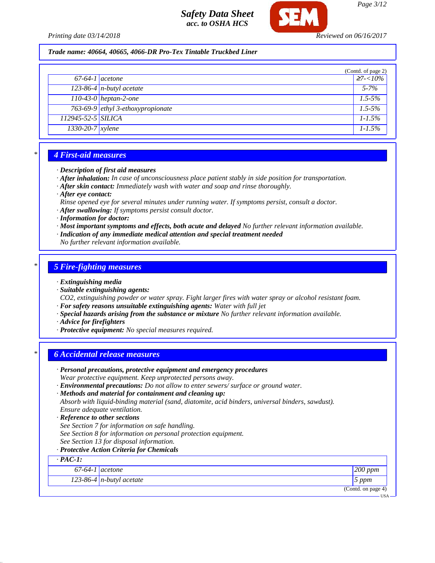

*Trade name: 40664, 40665, 4066-DR Pro-Tex Tintable Truckbed Liner*

|                    |                                   | (Contd. of page 2) |
|--------------------|-----------------------------------|--------------------|
| $67-64-1$ acetone  |                                   | $\geq 7 < 10\%$    |
|                    | $\sqrt{123-86-4}$ n-butyl acetate | $5 - 7\%$          |
|                    | $110-43-0$ heptan-2-one           | $1.5 - 5\%$        |
|                    | 763-69-9 ethyl 3-ethoxypropionate | $1.5 - 5\%$        |
| 112945-52-5 SILICA |                                   | $1 - 1.5\%$        |
| $1330-20-7$ xylene |                                   | $1 - 1.5\%$        |

### *\* 4 First-aid measures*

- *· Description of first aid measures*
- *· After inhalation: In case of unconsciousness place patient stably in side position for transportation.*
- *· After skin contact: Immediately wash with water and soap and rinse thoroughly.*

*· After eye contact:*

- *Rinse opened eye for several minutes under running water. If symptoms persist, consult a doctor.*
- *· After swallowing: If symptoms persist consult doctor.*
- *· Information for doctor:*
- *· Most important symptoms and effects, both acute and delayed No further relevant information available. · Indication of any immediate medical attention and special treatment needed*

*No further relevant information available.*

## *\* 5 Fire-fighting measures*

*· Extinguishing media*

*· Suitable extinguishing agents:*

*CO2, extinguishing powder or water spray. Fight larger fires with water spray or alcohol resistant foam.*

- *· For safety reasons unsuitable extinguishing agents: Water with full jet*
- *· Special hazards arising from the substance or mixture No further relevant information available.*
- *· Advice for firefighters*
- *· Protective equipment: No special measures required.*

### *\* 6 Accidental release measures*

*· Personal precautions, protective equipment and emergency procedures Wear protective equipment. Keep unprotected persons away. · Environmental precautions: Do not allow to enter sewers/ surface or ground water. · Methods and material for containment and cleaning up: Absorb with liquid-binding material (sand, diatomite, acid binders, universal binders, sawdust). Ensure adequate ventilation. · Reference to other sections See Section 7 for information on safe handling. See Section 8 for information on personal protection equipment. See Section 13 for disposal information. · Protective Action Criteria for Chemicals · PAC-1: 67-64-1 acetone 200 ppm 123-86-4 n-butyl acetate 5 ppm* (Contd. on page 4)

USA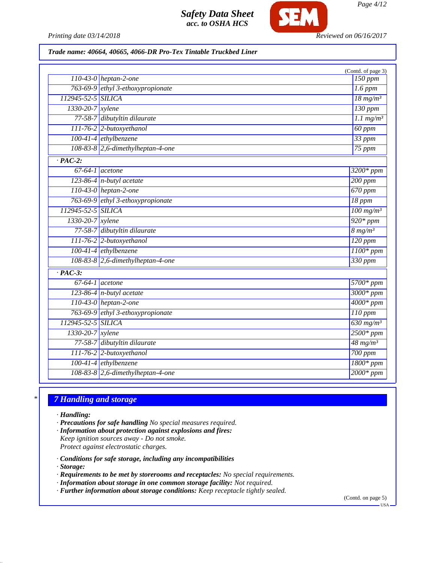

*Printing date 03/14/2018 Reviewed on 06/16/2017*

## *Trade name: 40664, 40665, 4066-DR Pro-Tex Tintable Truckbed Liner*

| $110-43-0$ heptan-2-one<br>763-69-9 ethyl 3-ethoxypropionate<br>$1.6$ ppm<br>112945-52-5 SILICA<br>$18$ mg/m <sup>3</sup><br>$130$ ppm<br>1330-20-7 xylene<br>77-58-7 dibutyltin dilaurate<br>$1.1$ mg/m <sup>3</sup><br>$111-76-2$ 2-butoxyethanol<br>60 ppm<br>100-41-4 ethylbenzene<br>$33$ ppm<br>108-83-8 2,6-dimethylheptan-4-one<br>75 ppm<br>$\overline{PAC-2}$ :<br>$\overline{67-64-1}$ acetone<br>$3200*$ ppm<br>$123-86-4$ n-butyl acetate<br>$200$ ppm<br>110-43-0 heptan-2-one<br>670 ppm<br>763-69-9 ethyl 3-ethoxypropionate<br>$18$ ppm<br>112945-52-5 SILICA<br>$100$ mg/m <sup>3</sup><br>$920*ppm$<br>1330-20-7 xylene<br>77-58-7 dibutyltin dilaurate<br>$8 \frac{mg}{m^3}$<br>111-76-2 2-butoxyethanol<br>$120$ ppm<br>100-41-4 ethylbenzene<br>$1100*$ ppm<br>108-83-8 2,6-dimethylheptan-4-one<br>330 ppm<br>$\overline{PAC-3}$ :<br>$67-64-1$ acetone<br>$5700*$ ppm<br>$3000*ppm$<br>$123-86-4$ n-butyl acetate<br>$110-43-0$ heptan-2-one<br>$4000*$ ppm<br>763-69-9 ethyl 3-ethoxypropionate<br>$\overline{110~ppm}$<br>112945-52-5 SILICA<br>$630$ mg/m <sup>3</sup><br>$2500*ppm$<br>1330-20-7 xylene<br>77-58-7 dibutyltin dilaurate<br>$48$ mg/m <sup>3</sup><br>111-76-2 2-butoxyethanol<br>$700$ ppm<br>100-41-4 ethylbenzene<br>$\frac{1800*}{ppm}$<br>108-83-8 2,6-dimethylheptan-4-one<br>$2000*ppm$ |  | (Contd. of page 3) |
|-------------------------------------------------------------------------------------------------------------------------------------------------------------------------------------------------------------------------------------------------------------------------------------------------------------------------------------------------------------------------------------------------------------------------------------------------------------------------------------------------------------------------------------------------------------------------------------------------------------------------------------------------------------------------------------------------------------------------------------------------------------------------------------------------------------------------------------------------------------------------------------------------------------------------------------------------------------------------------------------------------------------------------------------------------------------------------------------------------------------------------------------------------------------------------------------------------------------------------------------------------------------------------------------------------------------------------------------|--|--------------------|
|                                                                                                                                                                                                                                                                                                                                                                                                                                                                                                                                                                                                                                                                                                                                                                                                                                                                                                                                                                                                                                                                                                                                                                                                                                                                                                                                           |  | 150 ppm            |
|                                                                                                                                                                                                                                                                                                                                                                                                                                                                                                                                                                                                                                                                                                                                                                                                                                                                                                                                                                                                                                                                                                                                                                                                                                                                                                                                           |  |                    |
|                                                                                                                                                                                                                                                                                                                                                                                                                                                                                                                                                                                                                                                                                                                                                                                                                                                                                                                                                                                                                                                                                                                                                                                                                                                                                                                                           |  |                    |
|                                                                                                                                                                                                                                                                                                                                                                                                                                                                                                                                                                                                                                                                                                                                                                                                                                                                                                                                                                                                                                                                                                                                                                                                                                                                                                                                           |  |                    |
|                                                                                                                                                                                                                                                                                                                                                                                                                                                                                                                                                                                                                                                                                                                                                                                                                                                                                                                                                                                                                                                                                                                                                                                                                                                                                                                                           |  |                    |
|                                                                                                                                                                                                                                                                                                                                                                                                                                                                                                                                                                                                                                                                                                                                                                                                                                                                                                                                                                                                                                                                                                                                                                                                                                                                                                                                           |  |                    |
|                                                                                                                                                                                                                                                                                                                                                                                                                                                                                                                                                                                                                                                                                                                                                                                                                                                                                                                                                                                                                                                                                                                                                                                                                                                                                                                                           |  |                    |
|                                                                                                                                                                                                                                                                                                                                                                                                                                                                                                                                                                                                                                                                                                                                                                                                                                                                                                                                                                                                                                                                                                                                                                                                                                                                                                                                           |  |                    |
|                                                                                                                                                                                                                                                                                                                                                                                                                                                                                                                                                                                                                                                                                                                                                                                                                                                                                                                                                                                                                                                                                                                                                                                                                                                                                                                                           |  |                    |
|                                                                                                                                                                                                                                                                                                                                                                                                                                                                                                                                                                                                                                                                                                                                                                                                                                                                                                                                                                                                                                                                                                                                                                                                                                                                                                                                           |  |                    |
|                                                                                                                                                                                                                                                                                                                                                                                                                                                                                                                                                                                                                                                                                                                                                                                                                                                                                                                                                                                                                                                                                                                                                                                                                                                                                                                                           |  |                    |
|                                                                                                                                                                                                                                                                                                                                                                                                                                                                                                                                                                                                                                                                                                                                                                                                                                                                                                                                                                                                                                                                                                                                                                                                                                                                                                                                           |  |                    |
|                                                                                                                                                                                                                                                                                                                                                                                                                                                                                                                                                                                                                                                                                                                                                                                                                                                                                                                                                                                                                                                                                                                                                                                                                                                                                                                                           |  |                    |
|                                                                                                                                                                                                                                                                                                                                                                                                                                                                                                                                                                                                                                                                                                                                                                                                                                                                                                                                                                                                                                                                                                                                                                                                                                                                                                                                           |  |                    |
|                                                                                                                                                                                                                                                                                                                                                                                                                                                                                                                                                                                                                                                                                                                                                                                                                                                                                                                                                                                                                                                                                                                                                                                                                                                                                                                                           |  |                    |
|                                                                                                                                                                                                                                                                                                                                                                                                                                                                                                                                                                                                                                                                                                                                                                                                                                                                                                                                                                                                                                                                                                                                                                                                                                                                                                                                           |  |                    |
|                                                                                                                                                                                                                                                                                                                                                                                                                                                                                                                                                                                                                                                                                                                                                                                                                                                                                                                                                                                                                                                                                                                                                                                                                                                                                                                                           |  |                    |
|                                                                                                                                                                                                                                                                                                                                                                                                                                                                                                                                                                                                                                                                                                                                                                                                                                                                                                                                                                                                                                                                                                                                                                                                                                                                                                                                           |  |                    |
|                                                                                                                                                                                                                                                                                                                                                                                                                                                                                                                                                                                                                                                                                                                                                                                                                                                                                                                                                                                                                                                                                                                                                                                                                                                                                                                                           |  |                    |
|                                                                                                                                                                                                                                                                                                                                                                                                                                                                                                                                                                                                                                                                                                                                                                                                                                                                                                                                                                                                                                                                                                                                                                                                                                                                                                                                           |  |                    |
|                                                                                                                                                                                                                                                                                                                                                                                                                                                                                                                                                                                                                                                                                                                                                                                                                                                                                                                                                                                                                                                                                                                                                                                                                                                                                                                                           |  |                    |
|                                                                                                                                                                                                                                                                                                                                                                                                                                                                                                                                                                                                                                                                                                                                                                                                                                                                                                                                                                                                                                                                                                                                                                                                                                                                                                                                           |  |                    |
|                                                                                                                                                                                                                                                                                                                                                                                                                                                                                                                                                                                                                                                                                                                                                                                                                                                                                                                                                                                                                                                                                                                                                                                                                                                                                                                                           |  |                    |
|                                                                                                                                                                                                                                                                                                                                                                                                                                                                                                                                                                                                                                                                                                                                                                                                                                                                                                                                                                                                                                                                                                                                                                                                                                                                                                                                           |  |                    |
|                                                                                                                                                                                                                                                                                                                                                                                                                                                                                                                                                                                                                                                                                                                                                                                                                                                                                                                                                                                                                                                                                                                                                                                                                                                                                                                                           |  |                    |
|                                                                                                                                                                                                                                                                                                                                                                                                                                                                                                                                                                                                                                                                                                                                                                                                                                                                                                                                                                                                                                                                                                                                                                                                                                                                                                                                           |  |                    |
|                                                                                                                                                                                                                                                                                                                                                                                                                                                                                                                                                                                                                                                                                                                                                                                                                                                                                                                                                                                                                                                                                                                                                                                                                                                                                                                                           |  |                    |
|                                                                                                                                                                                                                                                                                                                                                                                                                                                                                                                                                                                                                                                                                                                                                                                                                                                                                                                                                                                                                                                                                                                                                                                                                                                                                                                                           |  |                    |
|                                                                                                                                                                                                                                                                                                                                                                                                                                                                                                                                                                                                                                                                                                                                                                                                                                                                                                                                                                                                                                                                                                                                                                                                                                                                                                                                           |  |                    |
|                                                                                                                                                                                                                                                                                                                                                                                                                                                                                                                                                                                                                                                                                                                                                                                                                                                                                                                                                                                                                                                                                                                                                                                                                                                                                                                                           |  |                    |

# *\* 7 Handling and storage*

*· Handling:*

*· Precautions for safe handling No special measures required.*

- *· Information about protection against explosions and fires: Keep ignition sources away - Do not smoke. Protect against electrostatic charges.*
- *· Conditions for safe storage, including any incompatibilities*

*· Storage:*

- *· Requirements to be met by storerooms and receptacles: No special requirements.*
- *· Information about storage in one common storage facility: Not required.*
- *· Further information about storage conditions: Keep receptacle tightly sealed.*

(Contd. on page 5)

USA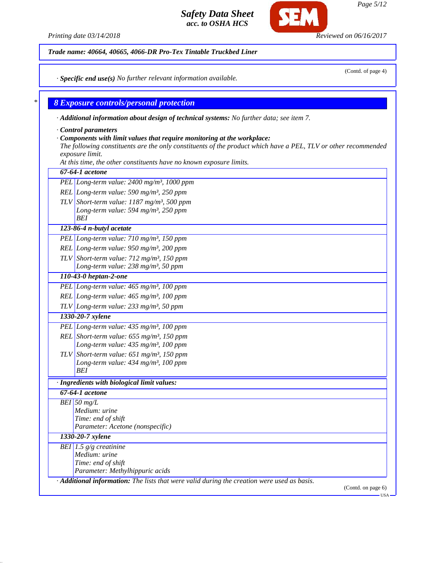*Printing date 03/14/2018 Reviewed on 06/16/2017*

**CF** 

*Trade name: 40664, 40665, 4066-DR Pro-Tex Tintable Truckbed Liner*

*· Specific end use(s) No further relevant information available.*

## *\* 8 Exposure controls/personal protection*

*· Additional information about design of technical systems: No further data; see item 7.*

*· Control parameters*

### *· Components with limit values that require monitoring at the workplace:*

*The following constituents are the only constituents of the product which have a PEL, TLV or other recommended exposure limit.*

*At this time, the other constituents have no known exposure limits.*

| PEL Long-term value: 2400 mg/m <sup>3</sup> , 1000 ppm   |                                                                                                                                |
|----------------------------------------------------------|--------------------------------------------------------------------------------------------------------------------------------|
|                                                          |                                                                                                                                |
| REL Long-term value: 590 mg/m <sup>3</sup> , 250 ppm     |                                                                                                                                |
| TLV Short-term value: $1187$ mg/m <sup>3</sup> , 500 ppm |                                                                                                                                |
| Long-term value: 594 mg/m <sup>3</sup> , 250 ppm         |                                                                                                                                |
| BEI                                                      |                                                                                                                                |
| 123-86-4 n-butyl acetate                                 |                                                                                                                                |
| PEL Long-term value: $710$ mg/m <sup>3</sup> , 150 ppm   |                                                                                                                                |
| REL Long-term value: $950$ mg/m <sup>3</sup> , 200 ppm   |                                                                                                                                |
| TLV Short-term value: $712 \text{ mg/m}^3$ , 150 ppm     |                                                                                                                                |
| Long-term value: 238 mg/m <sup>3</sup> , 50 ppm          |                                                                                                                                |
| 110-43-0 heptan-2-one                                    |                                                                                                                                |
| PEL Long-term value: 465 mg/m <sup>3</sup> , 100 ppm     |                                                                                                                                |
| REL Long-term value: $465$ mg/m <sup>3</sup> , 100 ppm   |                                                                                                                                |
| TLV Long-term value: $233$ mg/m <sup>3</sup> , 50 ppm    |                                                                                                                                |
| 1330-20-7 xylene                                         |                                                                                                                                |
| PEL Long-term value: $435$ mg/m <sup>3</sup> , 100 ppm   |                                                                                                                                |
| REL Short-term value: $655$ mg/m <sup>3</sup> , 150 ppm  |                                                                                                                                |
| Long-term value: 435 mg/m <sup>3</sup> , 100 ppm         |                                                                                                                                |
| TLV Short-term value: $651$ mg/m <sup>3</sup> , 150 ppm  |                                                                                                                                |
| Long-term value: 434 mg/m <sup>3</sup> , 100 ppm         |                                                                                                                                |
| BEI                                                      |                                                                                                                                |
| · Ingredients with biological limit values:              |                                                                                                                                |
| 67-64-1 acetone                                          |                                                                                                                                |
| $BEI$ 50 mg/L                                            |                                                                                                                                |
| Medium: urine                                            |                                                                                                                                |
| Time: end of shift                                       |                                                                                                                                |
| Parameter: Acetone (nonspecific)                         |                                                                                                                                |
| 1330-20-7 xylene                                         |                                                                                                                                |
| BEI 1.5 $g/g$ creatinine                                 |                                                                                                                                |
| Medium: urine                                            |                                                                                                                                |
| Time: end of shift<br>Parameter: Methylhippuric acids    |                                                                                                                                |
|                                                          |                                                                                                                                |
|                                                          | $\cdot$ <b>Additional information:</b> The lists that were valid during the creation were used as basis.<br>(Contd. on page 6) |

USA

(Contd. of page 4)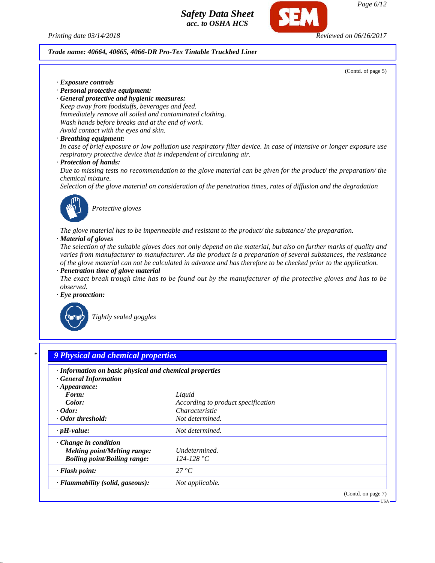



#### *Trade name: 40664, 40665, 4066-DR Pro-Tex Tintable Truckbed Liner*

(Contd. of page 5)

USA

*· Exposure controls*

- *· Personal protective equipment:*
- *· General protective and hygienic measures: Keep away from foodstuffs, beverages and feed. Immediately remove all soiled and contaminated clothing. Wash hands before breaks and at the end of work. Avoid contact with the eyes and skin.*

#### *· Breathing equipment:*

*In case of brief exposure or low pollution use respiratory filter device. In case of intensive or longer exposure use respiratory protective device that is independent of circulating air.*

#### *· Protection of hands:*

*Due to missing tests no recommendation to the glove material can be given for the product/ the preparation/ the chemical mixture.*

*Selection of the glove material on consideration of the penetration times, rates of diffusion and the degradation*



*Protective gloves*

*The glove material has to be impermeable and resistant to the product/ the substance/ the preparation.*

#### *· Material of gloves*

*The selection of the suitable gloves does not only depend on the material, but also on further marks of quality and varies from manufacturer to manufacturer. As the product is a preparation of several substances, the resistance of the glove material can not be calculated in advance and has therefore to be checked prior to the application. · Penetration time of glove material*

*The exact break trough time has to be found out by the manufacturer of the protective gloves and has to be observed.*

*· Eye protection:*



*Tightly sealed goggles*

# *\* 9 Physical and chemical properties · Information on basic physical and chemical properties · General Information · Appearance: Form: Liquid Color: According to product specification · Odor: Characteristic · Odor threshold: Not determined. · pH-value: Not determined. · Change in condition Melting point/Melting range: Undetermined. Boiling point/Boiling range: 124-128 °C · Flash point: 27 °C · Flammability (solid, gaseous): Not applicable.* (Contd. on page 7)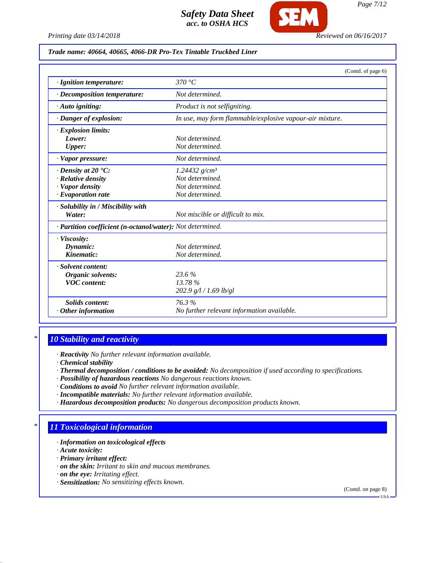

*Printing date 03/14/2018 Reviewed on 06/16/2017*

### *Trade name: 40664, 40665, 4066-DR Pro-Tex Tintable Truckbed Liner*

|                                                            | (Contd. of page 6)                                       |
|------------------------------------------------------------|----------------------------------------------------------|
| · Ignition temperature:                                    | 370 °C                                                   |
| · Decomposition temperature:                               | Not determined.                                          |
| $\cdot$ Auto igniting:                                     | Product is not selfigniting.                             |
| · Danger of explosion:                                     | In use, may form flammable/explosive vapour-air mixture. |
| · Explosion limits:                                        |                                                          |
| Lower:                                                     | Not determined.                                          |
| <b>Upper:</b>                                              | Not determined.                                          |
| · Vapor pressure:                                          | Not determined.                                          |
| $\cdot$ Density at 20 $\cdot$ C:                           | 1.24432 $g/cm^3$                                         |
| $\cdot$ Relative density                                   | Not determined.                                          |
| · Vapor density                                            | Not determined.                                          |
| $\cdot$ Evaporation rate                                   | Not determined.                                          |
| · Solubility in / Miscibility with                         |                                                          |
| Water:                                                     | Not miscible or difficult to mix.                        |
| · Partition coefficient (n-octanol/water): Not determined. |                                                          |
| · Viscosity:                                               |                                                          |
| Dynamic:                                                   | Not determined.                                          |
| Kinematic:                                                 | Not determined.                                          |
| · Solvent content:                                         |                                                          |
| Organic solvents:                                          | 23.6%                                                    |
| <b>VOC</b> content:                                        | 13.78%                                                   |
|                                                            | 202.9 g/l / 1.69 lb/gl                                   |
| <b>Solids content:</b>                                     | 76.3%                                                    |
| $\cdot$ Other information                                  | No further relevant information available.               |

## *\* 10 Stability and reactivity*

*· Reactivity No further relevant information available.*

- *· Chemical stability*
- *· Thermal decomposition / conditions to be avoided: No decomposition if used according to specifications.*
- *· Possibility of hazardous reactions No dangerous reactions known.*
- *· Conditions to avoid No further relevant information available.*
- *· Incompatible materials: No further relevant information available.*
- *· Hazardous decomposition products: No dangerous decomposition products known.*

## *\* 11 Toxicological information*

- *· Information on toxicological effects*
- *· Acute toxicity:*
- *· Primary irritant effect:*
- *· on the skin: Irritant to skin and mucous membranes.*
- *· on the eye: Irritating effect.*
- *· Sensitization: No sensitizing effects known.*

(Contd. on page 8)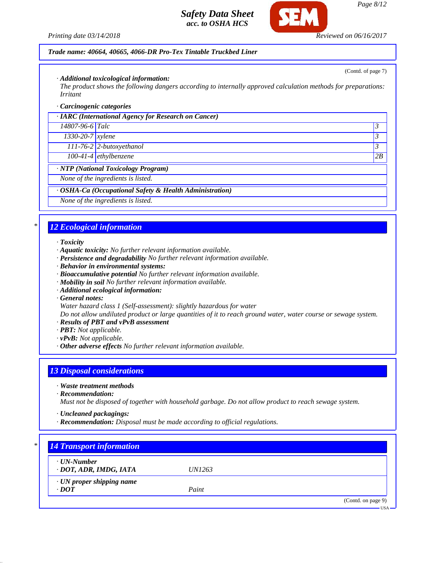

### *Trade name: 40664, 40665, 4066-DR Pro-Tex Tintable Truckbed Liner*

*· Additional toxicological information:*

*The product shows the following dangers according to internally approved calculation methods for preparations: Irritant*

#### *· Carcinogenic categories*

| <b>IARC</b> (International Agency for Research on Cancer) |                            |                |
|-----------------------------------------------------------|----------------------------|----------------|
| 14807-96-6 Talc                                           |                            | $\mathfrak{Z}$ |
| $1330-20-7$ xylene                                        |                            | $\mathfrak{Z}$ |
|                                                           | $111-76-2$ 2-butoxyethanol | 3              |
|                                                           | $100-41-4$ ethylbenzene    | 2B             |
| <b>WIP</b> (National Toxicology Program)                  |                            |                |
| None of the ingredients is listed.                        |                            |                |
| · OSHA-Ca (Occupational Safety & Health Administration)   |                            |                |
|                                                           |                            |                |

*None of the ingredients is listed.*

### *\* 12 Ecological information*

#### *· Toxicity*

- *· Aquatic toxicity: No further relevant information available.*
- *· Persistence and degradability No further relevant information available.*
- *· Behavior in environmental systems:*
- *· Bioaccumulative potential No further relevant information available.*
- *· Mobility in soil No further relevant information available.*
- *· Additional ecological information:*
- *· General notes:*

*Water hazard class 1 (Self-assessment): slightly hazardous for water*

*Do not allow undiluted product or large quantities of it to reach ground water, water course or sewage system.*

- *· Results of PBT and vPvB assessment*
- *· PBT: Not applicable.*
- *· vPvB: Not applicable.*
- *· Other adverse effects No further relevant information available.*

### *13 Disposal considerations*

- *· Waste treatment methods*
- *· Recommendation:*

*Must not be disposed of together with household garbage. Do not allow product to reach sewage system.*

- *· Uncleaned packagings:*
- *· Recommendation: Disposal must be made according to official regulations.*

| $\cdot$ UN-Number               |               |  |
|---------------------------------|---------------|--|
| · DOT, ADR, IMDG, IATA          | <i>UN1263</i> |  |
| $\cdot$ UN proper shipping name |               |  |
| $\cdot$ DOT                     | Paint         |  |

(Contd. of page 7)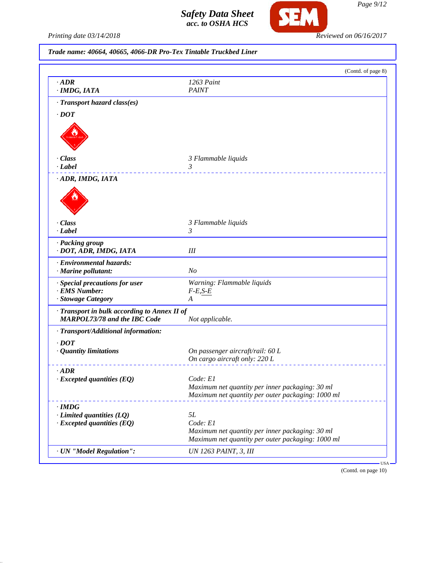

*Printing date 03/14/2018 Reviewed on 06/16/2017*

*Trade name: 40664, 40665, 4066-DR Pro-Tex Tintable Truckbed Liner*

|                                                                                     | (Contd. of page 8)                                                                                   |
|-------------------------------------------------------------------------------------|------------------------------------------------------------------------------------------------------|
| $\cdot$ ADR<br>· IMDG, IATA                                                         | 1263 Paint<br><b>PAINT</b>                                                                           |
| · Transport hazard class(es)                                                        |                                                                                                      |
| $\cdot$ DOT                                                                         |                                                                                                      |
|                                                                                     |                                                                                                      |
| · Class                                                                             | 3 Flammable liquids                                                                                  |
| · Label                                                                             | 3                                                                                                    |
| ADR, IMDG, IATA                                                                     |                                                                                                      |
| · Class                                                                             | 3 Flammable liquids                                                                                  |
| · Label                                                                             | 3                                                                                                    |
| · Packing group<br>· DOT, ADR, IMDG, IATA                                           | $I\!I\!I$                                                                                            |
| · Environmental hazards:<br>· Marine pollutant:                                     | N <sub>o</sub>                                                                                       |
| · Special precautions for user                                                      | Warning: Flammable liquids                                                                           |
| · EMS Number:                                                                       | $F-E, S-E$                                                                                           |
| · Stowage Category                                                                  | A                                                                                                    |
| · Transport in bulk according to Annex II of<br><b>MARPOL73/78 and the IBC Code</b> | Not applicable.                                                                                      |
| · Transport/Additional information:                                                 |                                                                                                      |
| $\cdot$ <i>DOT</i>                                                                  |                                                                                                      |
| $\cdot$ Quantity limitations                                                        | On passenger aircraft/rail: 60 L                                                                     |
|                                                                                     | On cargo aircraft only: 220 L                                                                        |
| $\cdot$ ADR                                                                         |                                                                                                      |
| $\cdot$ Excepted quantities (EQ)                                                    | Code: E1                                                                                             |
|                                                                                     | Maximum net quantity per inner packaging: 30 ml<br>Maximum net quantity per outer packaging: 1000 ml |
|                                                                                     |                                                                                                      |
| $\cdot$ IMDG<br>$\cdot$ Limited quantities (LQ)                                     | 5L                                                                                                   |
| $\cdot$ Excepted quantities (EQ)                                                    | Code: E1                                                                                             |
|                                                                                     | Maximum net quantity per inner packaging: 30 ml                                                      |
|                                                                                     | Maximum net quantity per outer packaging: 1000 ml                                                    |
| · UN "Model Regulation":                                                            | UN 1263 PAINT, 3, III                                                                                |

(Contd. on page 10)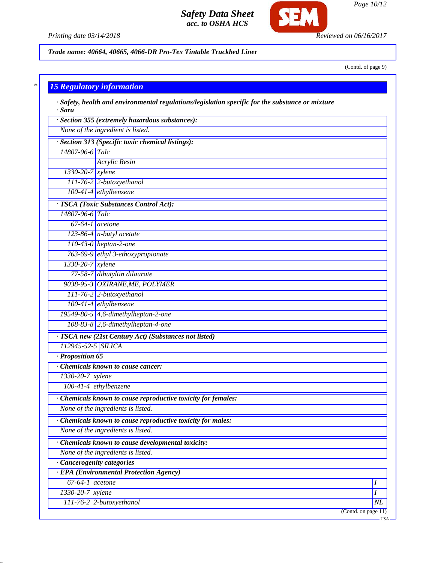

*Page 10/12*

*Printing date 03/14/2018 Reviewed on 06/16/2017*

*Trade name: 40664, 40665, 4066-DR Pro-Tex Tintable Truckbed Liner*

(Contd. of page 9)

|                              | $\cdot$ Safety, health and environmental regulations/legislation specific for the substance or mixture |  |
|------------------------------|--------------------------------------------------------------------------------------------------------|--|
| $\cdot$ Sara                 |                                                                                                        |  |
|                              | · Section 355 (extremely hazardous substances):                                                        |  |
|                              | None of the ingredient is listed.                                                                      |  |
|                              | · Section 313 (Specific toxic chemical listings):                                                      |  |
| 14807-96-6 Talc              |                                                                                                        |  |
|                              | <b>Acrylic Resin</b>                                                                                   |  |
| 1330-20-7 xylene             |                                                                                                        |  |
|                              | 111-76-2 2-butoxyethanol                                                                               |  |
|                              | 100-41-4 ethylbenzene                                                                                  |  |
|                              | · TSCA (Toxic Substances Control Act):                                                                 |  |
| 14807-96-6 Talc              |                                                                                                        |  |
| $\overline{67-64-1}$ acetone |                                                                                                        |  |
|                              | 123-86-4 $n$ -butyl acetate                                                                            |  |
|                              | $110-43-0$ heptan-2-one                                                                                |  |
|                              | 763-69-9 ethyl 3-ethoxypropionate                                                                      |  |
| 1330-20-7 xylene             |                                                                                                        |  |
|                              | 77-58-7 dibutyltin dilaurate                                                                           |  |
|                              | 9038-95-3 OXIRANE, ME, POLYMER                                                                         |  |
|                              | 111-76-2 2-butoxyethanol                                                                               |  |
|                              | 100-41-4 ethylbenzene                                                                                  |  |
|                              | 19549-80-5 4,6-dimethylheptan-2-one                                                                    |  |
|                              | 108-83-8 2,6-dimethylheptan-4-one                                                                      |  |
|                              | · TSCA new (21st Century Act) (Substances not listed)                                                  |  |
| 112945-52-5 SILICA           |                                                                                                        |  |
| Proposition 65               |                                                                                                        |  |
|                              | Chemicals known to cause cancer:                                                                       |  |
| 1330-20-7 xylene             |                                                                                                        |  |
|                              | 100-41-4 ethylbenzene                                                                                  |  |
|                              | Chemicals known to cause reproductive toxicity for females:                                            |  |
|                              | None of the ingredients is listed.                                                                     |  |
|                              | Chemicals known to cause reproductive toxicity for males:                                              |  |
|                              | None of the ingredients is listed.                                                                     |  |
|                              | · Chemicals known to cause developmental toxicity:                                                     |  |
|                              | None of the ingredients is listed.                                                                     |  |
|                              | · Cancerogenity categories                                                                             |  |
|                              | · EPA (Environmental Protection Agency)                                                                |  |
| $67-64-1$ acetone            |                                                                                                        |  |
| 1330-20-7 xylene             |                                                                                                        |  |
|                              | $111-76-2$ 2-butoxyethanol                                                                             |  |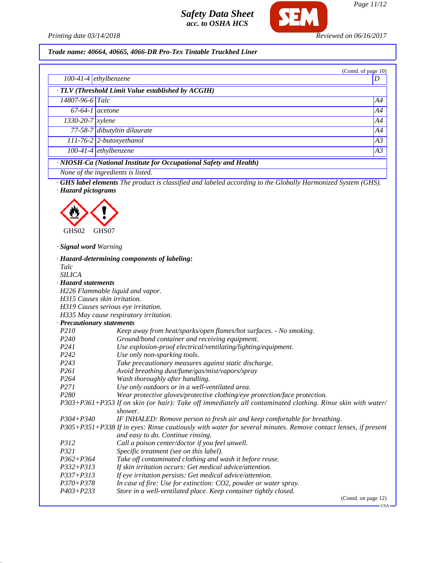

*Printing date 03/14/2018 Reviewed on 06/16/2017*

*Trade name: 40664, 40665, 4066-DR Pro-Tex Tintable Truckbed Liner*

|                                              |                                                                                                                                                                                                                                             | (Contd. of page 10)            |
|----------------------------------------------|---------------------------------------------------------------------------------------------------------------------------------------------------------------------------------------------------------------------------------------------|--------------------------------|
|                                              | $100-41-4$ ethylbenzene                                                                                                                                                                                                                     | D                              |
|                                              | TLV (Threshold Limit Value established by ACGIH)                                                                                                                                                                                            |                                |
| 14807-96-6 Talc                              |                                                                                                                                                                                                                                             | A4                             |
|                                              | $\overline{67-64-1}$ acetone                                                                                                                                                                                                                | A4                             |
| $1330 - 20 - 7$ <i>xylene</i>                |                                                                                                                                                                                                                                             | A4                             |
|                                              |                                                                                                                                                                                                                                             |                                |
|                                              | 77-58-7 dibutyltin dilaurate                                                                                                                                                                                                                | A4                             |
|                                              | $111-76-2$ 2-butoxyethanol                                                                                                                                                                                                                  | A3                             |
|                                              | $100-41-4$ ethylbenzene                                                                                                                                                                                                                     | A3                             |
|                                              | · NIOSH-Ca (National Institute for Occupational Safety and Health)                                                                                                                                                                          |                                |
|                                              | None of the ingredients is listed.                                                                                                                                                                                                          |                                |
| · Hazard pictograms                          |                                                                                                                                                                                                                                             |                                |
| GHS02<br>· Signal word Warning               | GHS07                                                                                                                                                                                                                                       |                                |
| Talc<br><b>SILICA</b><br>· Hazard statements | · Hazard-determining components of labeling:<br>H226 Flammable liquid and vapor.<br>H315 Causes skin irritation.                                                                                                                            |                                |
|                                              | H319 Causes serious eye irritation.                                                                                                                                                                                                         |                                |
|                                              | H335 May cause respiratory irritation.                                                                                                                                                                                                      |                                |
|                                              | · Precautionary statements                                                                                                                                                                                                                  |                                |
| <i>P210</i><br>P <sub>240</sub>              | Keep away from heat/sparks/open flames/hot surfaces. - No smoking.                                                                                                                                                                          |                                |
| P <sub>241</sub>                             | Ground/bond container and receiving equipment.                                                                                                                                                                                              |                                |
| P <sub>242</sub>                             | Use explosion-proof electrical/ventilating/lighting/equipment.<br>Use only non-sparking tools.                                                                                                                                              |                                |
| P <sub>243</sub>                             | Take precautionary measures against static discharge.                                                                                                                                                                                       |                                |
| P <sub>261</sub>                             | Avoid breathing dust/fume/gas/mist/vapors/spray                                                                                                                                                                                             |                                |
| P <sub>264</sub>                             | Wash thoroughly after handling.                                                                                                                                                                                                             |                                |
| P271                                         | Use only outdoors or in a well-ventilated area.                                                                                                                                                                                             |                                |
| P <sub>280</sub>                             | Wear protective gloves/protective clothing/eye protection/face protection.                                                                                                                                                                  |                                |
|                                              | P303+P361+P353 If on skin (or hair): Take off immediately all contaminated clothing. Rinse skin with water/                                                                                                                                 |                                |
| $P304 + P340$                                | shower.<br>IF INHALED: Remove person to fresh air and keep comfortable for breathing.<br>P305+P351+P338 If in eyes: Rinse cautiously with water for several minutes. Remove contact lenses, if present<br>and easy to do. Continue rinsing. |                                |
| P312                                         | Call a poison center/doctor if you feel unwell.                                                                                                                                                                                             |                                |
| P321                                         | Specific treatment (see on this label).                                                                                                                                                                                                     |                                |
| $P362 + P364$                                | Take off contaminated clothing and wash it before reuse.                                                                                                                                                                                    |                                |
| $P332 + P313$                                | If skin irritation occurs: Get medical advice/attention.                                                                                                                                                                                    |                                |
| $P337 + P313$                                | If eye irritation persists: Get medical advice/attention.                                                                                                                                                                                   |                                |
| $P370 + P378$                                | In case of fire: Use for extinction: CO2, powder or water spray.                                                                                                                                                                            |                                |
| $P403 + P233$                                | Store in a well-ventilated place. Keep container tightly closed.                                                                                                                                                                            |                                |
|                                              |                                                                                                                                                                                                                                             | (Contd. on page 12)<br>- USA · |